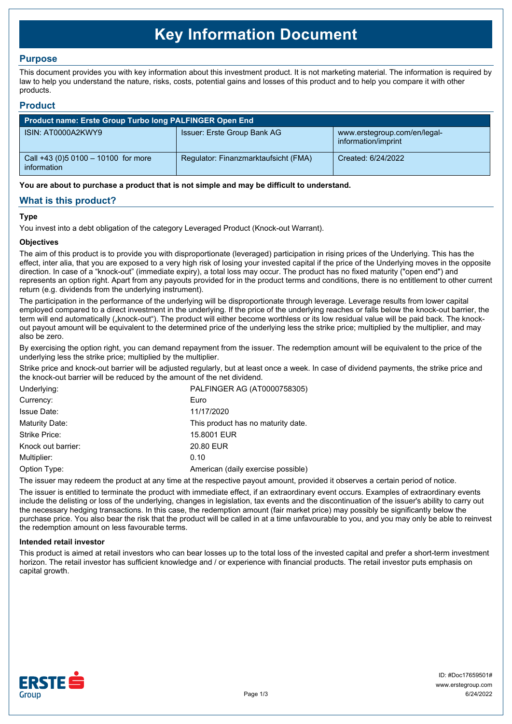# **Key Information Document**

# **Purpose**

This document provides you with key information about this investment product. It is not marketing material. The information is required by law to help you understand the nature, risks, costs, potential gains and losses of this product and to help you compare it with other products.

## **Product**

| <b>Product name: Erste Group Turbo long PALFINGER Open End</b> |                                      |                                                     |  |  |
|----------------------------------------------------------------|--------------------------------------|-----------------------------------------------------|--|--|
| ISIN: AT0000A2KWY9                                             | Issuer: Erste Group Bank AG          | www.erstegroup.com/en/legal-<br>information/imprint |  |  |
| Call +43 (0) 5 0100 - 10100 for more<br>information            | Regulator: Finanzmarktaufsicht (FMA) | Created: 6/24/2022                                  |  |  |

**You are about to purchase a product that is not simple and may be difficult to understand.**

# **What is this product?**

## **Type**

You invest into a debt obligation of the category Leveraged Product (Knock-out Warrant).

## **Objectives**

The aim of this product is to provide you with disproportionate (leveraged) participation in rising prices of the Underlying. This has the effect, inter alia, that you are exposed to a very high risk of losing your invested capital if the price of the Underlying moves in the opposite direction. In case of a "knock-out" (immediate expiry), a total loss may occur. The product has no fixed maturity ("open end") and represents an option right. Apart from any payouts provided for in the product terms and conditions, there is no entitlement to other current return (e.g. dividends from the underlying instrument).

The participation in the performance of the underlying will be disproportionate through leverage. Leverage results from lower capital employed compared to a direct investment in the underlying. If the price of the underlying reaches or falls below the knock-out barrier, the term will end automatically ("knock-out"). The product will either become worthless or its low residual value will be paid back. The knockout payout amount will be equivalent to the determined price of the underlying less the strike price; multiplied by the multiplier, and may also be zero.

By exercising the option right, you can demand repayment from the issuer. The redemption amount will be equivalent to the price of the underlying less the strike price; multiplied by the multiplier.

Strike price and knock-out barrier will be adjusted regularly, but at least once a week. In case of dividend payments, the strike price and the knock-out barrier will be reduced by the amount of the net dividend.

| PALFINGER AG (AT0000758305)        |
|------------------------------------|
| Euro                               |
| 11/17/2020                         |
| This product has no maturity date. |
| 15.8001 EUR                        |
| 20.80 EUR                          |
| 0.10                               |
| American (daily exercise possible) |
|                                    |

The issuer may redeem the product at any time at the respective payout amount, provided it observes a certain period of notice.

The issuer is entitled to terminate the product with immediate effect, if an extraordinary event occurs. Examples of extraordinary events include the delisting or loss of the underlying, changes in legislation, tax events and the discontinuation of the issuer's ability to carry out the necessary hedging transactions. In this case, the redemption amount (fair market price) may possibly be significantly below the purchase price. You also bear the risk that the product will be called in at a time unfavourable to you, and you may only be able to reinvest the redemption amount on less favourable terms.

#### **Intended retail investor**

This product is aimed at retail investors who can bear losses up to the total loss of the invested capital and prefer a short-term investment horizon. The retail investor has sufficient knowledge and / or experience with financial products. The retail investor puts emphasis on capital growth.

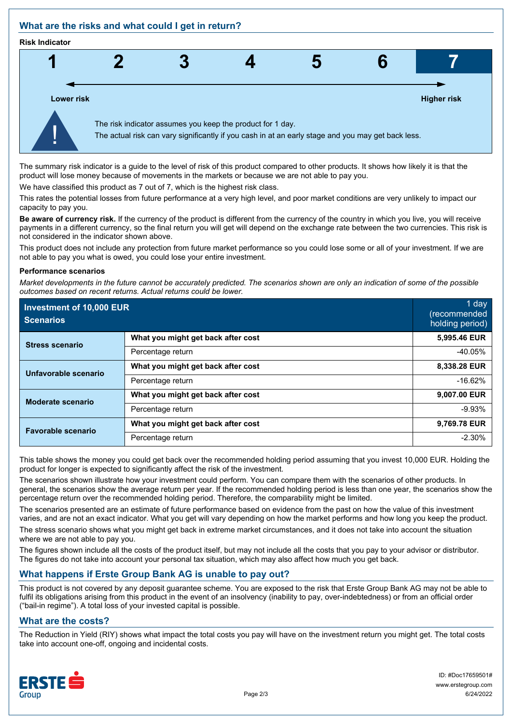# **What are the risks and what could I get in return?**

#### **Risk Indicator**



The summary risk indicator is a guide to the level of risk of this product compared to other products. It shows how likely it is that the product will lose money because of movements in the markets or because we are not able to pay you.

We have classified this product as 7 out of 7, which is the highest risk class.

This rates the potential losses from future performance at a very high level, and poor market conditions are very unlikely to impact our capacity to pay you.

**Be aware of currency risk.** If the currency of the product is different from the currency of the country in which you live, you will receive payments in a different currency, so the final return you will get will depend on the exchange rate between the two currencies. This risk is not considered in the indicator shown above.

This product does not include any protection from future market performance so you could lose some or all of your investment. If we are not able to pay you what is owed, you could lose your entire investment.

#### **Performance scenarios**

*Market developments in the future cannot be accurately predicted. The scenarios shown are only an indication of some of the possible outcomes based on recent returns. Actual returns could be lower.*

| Investment of 10,000 EUR<br><b>Scenarios</b> |                                    | 1 day<br>(recommended<br>holding period) |
|----------------------------------------------|------------------------------------|------------------------------------------|
| <b>Stress scenario</b>                       | What you might get back after cost | 5,995.46 EUR                             |
|                                              | Percentage return                  | $-40.05%$                                |
| Unfavorable scenario                         | What you might get back after cost | 8,338.28 EUR                             |
|                                              | Percentage return                  | $-16.62%$                                |
| <b>Moderate scenario</b>                     | What you might get back after cost | 9,007.00 EUR                             |
|                                              | Percentage return                  | $-9.93%$                                 |
| <b>Favorable scenario</b>                    | What you might get back after cost | 9,769.78 EUR                             |
|                                              | Percentage return                  | $-2.30%$                                 |

This table shows the money you could get back over the recommended holding period assuming that you invest 10,000 EUR. Holding the product for longer is expected to significantly affect the risk of the investment.

The scenarios shown illustrate how your investment could perform. You can compare them with the scenarios of other products. In general, the scenarios show the average return per year. If the recommended holding period is less than one year, the scenarios show the percentage return over the recommended holding period. Therefore, the comparability might be limited.

The scenarios presented are an estimate of future performance based on evidence from the past on how the value of this investment varies, and are not an exact indicator. What you get will vary depending on how the market performs and how long you keep the product.

The stress scenario shows what you might get back in extreme market circumstances, and it does not take into account the situation where we are not able to pay you.

The figures shown include all the costs of the product itself, but may not include all the costs that you pay to your advisor or distributor. The figures do not take into account your personal tax situation, which may also affect how much you get back.

# **What happens if Erste Group Bank AG is unable to pay out?**

This product is not covered by any deposit guarantee scheme. You are exposed to the risk that Erste Group Bank AG may not be able to fulfil its obligations arising from this product in the event of an insolvency (inability to pay, over-indebtedness) or from an official order ("bail-in regime"). A total loss of your invested capital is possible.

# **What are the costs?**

The Reduction in Yield (RIY) shows what impact the total costs you pay will have on the investment return you might get. The total costs take into account one-off, ongoing and incidental costs.